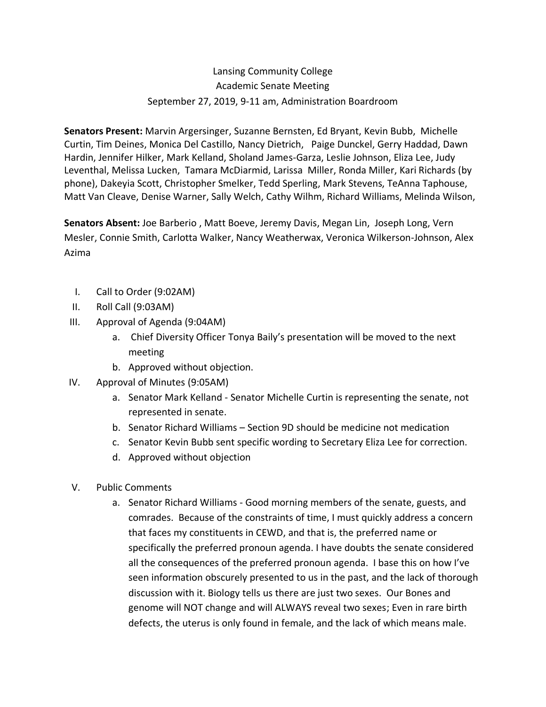# Lansing Community College Academic Senate Meeting September 27, 2019, 9-11 am, Administration Boardroom

**Senators Present:** Marvin Argersinger, Suzanne Bernsten, Ed Bryant, Kevin Bubb, Michelle Curtin, Tim Deines, Monica Del Castillo, Nancy Dietrich, Paige Dunckel, Gerry Haddad, Dawn Hardin, Jennifer Hilker, Mark Kelland, Sholand James-Garza, Leslie Johnson, Eliza Lee, Judy Leventhal, Melissa Lucken, Tamara McDiarmid, Larissa Miller, Ronda Miller, Kari Richards (by phone), Dakeyia Scott, Christopher Smelker, Tedd Sperling, Mark Stevens, TeAnna Taphouse, Matt Van Cleave, Denise Warner, Sally Welch, Cathy Wilhm, Richard Williams, Melinda Wilson,

**Senators Absent:** Joe Barberio , Matt Boeve, Jeremy Davis, Megan Lin, Joseph Long, Vern Mesler, Connie Smith, Carlotta Walker, Nancy Weatherwax, Veronica Wilkerson-Johnson, Alex Azima

- I. Call to Order (9:02AM)
- II. Roll Call (9:03AM)
- III. Approval of Agenda (9:04AM)
	- a. Chief Diversity Officer Tonya Baily's presentation will be moved to the next meeting
	- b. Approved without objection.
- IV. Approval of Minutes (9:05AM)
	- a. Senator Mark Kelland Senator Michelle Curtin is representing the senate, not represented in senate.
	- b. Senator Richard Williams Section 9D should be medicine not medication
	- c. Senator Kevin Bubb sent specific wording to Secretary Eliza Lee for correction.
	- d. Approved without objection
- V. Public Comments
	- a. Senator Richard Williams Good morning members of the senate, guests, and comrades. Because of the constraints of time, I must quickly address a concern that faces my constituents in CEWD, and that is, the preferred name or specifically the preferred pronoun agenda. I have doubts the senate considered all the consequences of the preferred pronoun agenda. I base this on how I've seen information obscurely presented to us in the past, and the lack of thorough discussion with it. Biology tells us there are just two sexes. Our Bones and genome will NOT change and will ALWAYS reveal two sexes; Even in rare birth defects, the uterus is only found in female, and the lack of which means male.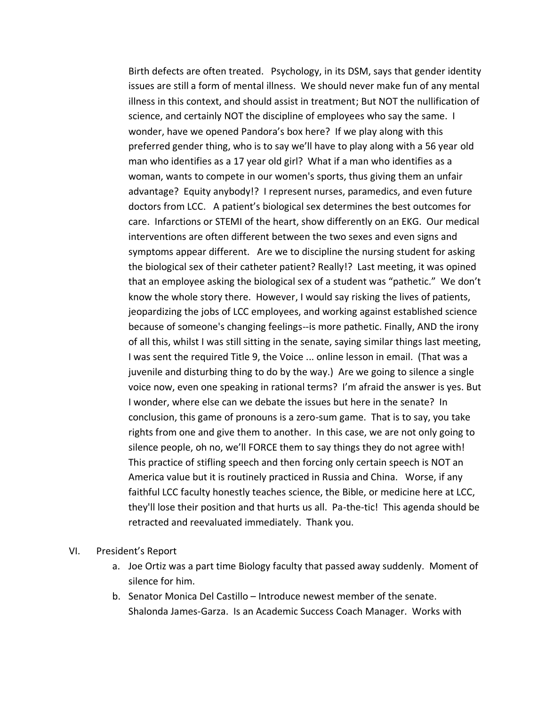Birth defects are often treated. Psychology, in its DSM, says that gender identity issues are still a form of mental illness. We should never make fun of any mental illness in this context, and should assist in treatment; But NOT the nullification of science, and certainly NOT the discipline of employees who say the same. I wonder, have we opened Pandora's box here? If we play along with this preferred gender thing, who is to say we'll have to play along with a 56 year old man who identifies as a 17 year old girl? What if a man who identifies as a woman, wants to compete in our women's sports, thus giving them an unfair advantage? Equity anybody!? I represent nurses, paramedics, and even future doctors from LCC. A patient's biological sex determines the best outcomes for care. Infarctions or STEMI of the heart, show differently on an EKG. Our medical interventions are often different between the two sexes and even signs and symptoms appear different. Are we to discipline the nursing student for asking the biological sex of their catheter patient? Really!? Last meeting, it was opined that an employee asking the biological sex of a student was "pathetic." We don't know the whole story there. However, I would say risking the lives of patients, jeopardizing the jobs of LCC employees, and working against established science because of someone's changing feelings--is more pathetic. Finally, AND the irony of all this, whilst I was still sitting in the senate, saying similar things last meeting, I was sent the required Title 9, the Voice ... online lesson in email. (That was a juvenile and disturbing thing to do by the way.) Are we going to silence a single voice now, even one speaking in rational terms? I'm afraid the answer is yes. But I wonder, where else can we debate the issues but here in the senate? In conclusion, this game of pronouns is a zero-sum game. That is to say, you take rights from one and give them to another. In this case, we are not only going to silence people, oh no, we'll FORCE them to say things they do not agree with! This practice of stifling speech and then forcing only certain speech is NOT an America value but it is routinely practiced in Russia and China. Worse, if any faithful LCC faculty honestly teaches science, the Bible, or medicine here at LCC, they'll lose their position and that hurts us all. Pa-the-tic! This agenda should be retracted and reevaluated immediately. Thank you.

- VI. President's Report
	- a. Joe Ortiz was a part time Biology faculty that passed away suddenly. Moment of silence for him.
	- b. Senator Monica Del Castillo Introduce newest member of the senate. Shalonda James-Garza. Is an Academic Success Coach Manager. Works with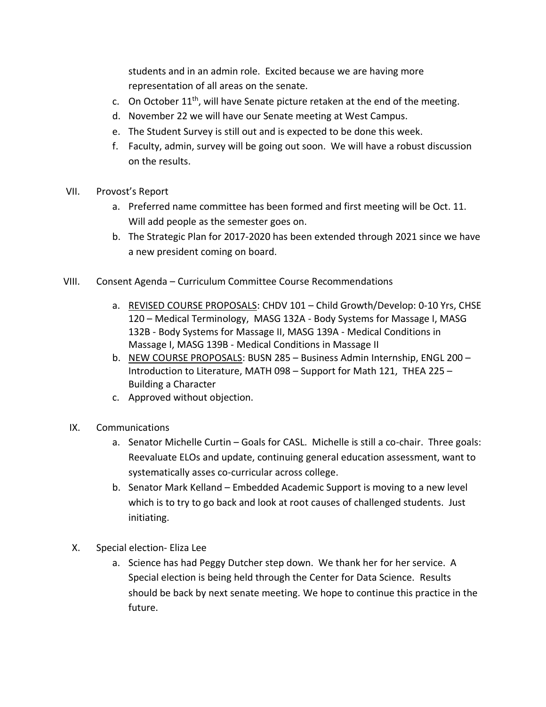students and in an admin role. Excited because we are having more representation of all areas on the senate.

- c. On October  $11<sup>th</sup>$ , will have Senate picture retaken at the end of the meeting.
- d. November 22 we will have our Senate meeting at West Campus.
- e. The Student Survey is still out and is expected to be done this week.
- f. Faculty, admin, survey will be going out soon. We will have a robust discussion on the results.
- VII. Provost's Report
	- a. Preferred name committee has been formed and first meeting will be Oct. 11. Will add people as the semester goes on.
	- b. The Strategic Plan for 2017-2020 has been extended through 2021 since we have a new president coming on board.
- VIII. Consent Agenda Curriculum Committee Course Recommendations
	- a. REVISED COURSE PROPOSALS: CHDV 101 Child Growth/Develop: 0-10 Yrs, CHSE 120 – Medical Terminology, MASG 132A - Body Systems for Massage I, MASG 132B - Body Systems for Massage II, MASG 139A - Medical Conditions in Massage I, MASG 139B - Medical Conditions in Massage II
	- b. NEW COURSE PROPOSALS: BUSN 285 Business Admin Internship, ENGL 200 -Introduction to Literature, MATH 098 – Support for Math 121, THEA 225 – Building a Character
	- c. Approved without objection.
	- IX. Communications
		- a. Senator Michelle Curtin Goals for CASL. Michelle is still a co-chair. Three goals: Reevaluate ELOs and update, continuing general education assessment, want to systematically asses co-curricular across college.
		- b. Senator Mark Kelland Embedded Academic Support is moving to a new level which is to try to go back and look at root causes of challenged students. Just initiating.
	- X. Special election- Eliza Lee
		- a. Science has had Peggy Dutcher step down. We thank her for her service. A Special election is being held through the Center for Data Science. Results should be back by next senate meeting. We hope to continue this practice in the future.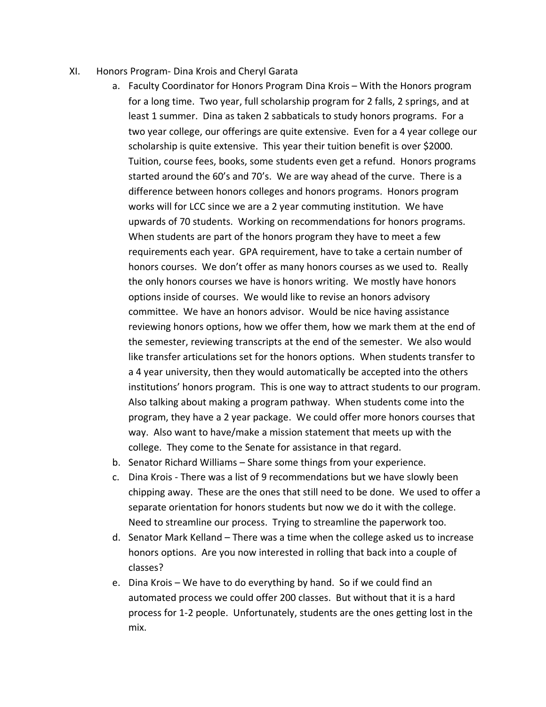- XI. Honors Program- Dina Krois and Cheryl Garata
	- a. Faculty Coordinator for Honors Program Dina Krois With the Honors program for a long time. Two year, full scholarship program for 2 falls, 2 springs, and at least 1 summer. Dina as taken 2 sabbaticals to study honors programs. For a two year college, our offerings are quite extensive. Even for a 4 year college our scholarship is quite extensive. This year their tuition benefit is over \$2000. Tuition, course fees, books, some students even get a refund. Honors programs started around the 60's and 70's. We are way ahead of the curve. There is a difference between honors colleges and honors programs. Honors program works will for LCC since we are a 2 year commuting institution. We have upwards of 70 students. Working on recommendations for honors programs. When students are part of the honors program they have to meet a few requirements each year. GPA requirement, have to take a certain number of honors courses. We don't offer as many honors courses as we used to. Really the only honors courses we have is honors writing. We mostly have honors options inside of courses. We would like to revise an honors advisory committee. We have an honors advisor. Would be nice having assistance reviewing honors options, how we offer them, how we mark them at the end of the semester, reviewing transcripts at the end of the semester. We also would like transfer articulations set for the honors options. When students transfer to a 4 year university, then they would automatically be accepted into the others institutions' honors program. This is one way to attract students to our program. Also talking about making a program pathway. When students come into the program, they have a 2 year package. We could offer more honors courses that way. Also want to have/make a mission statement that meets up with the college. They come to the Senate for assistance in that regard.
	- b. Senator Richard Williams Share some things from your experience.
	- c. Dina Krois There was a list of 9 recommendations but we have slowly been chipping away. These are the ones that still need to be done. We used to offer a separate orientation for honors students but now we do it with the college. Need to streamline our process. Trying to streamline the paperwork too.
	- d. Senator Mark Kelland There was a time when the college asked us to increase honors options. Are you now interested in rolling that back into a couple of classes?
	- e. Dina Krois We have to do everything by hand. So if we could find an automated process we could offer 200 classes. But without that it is a hard process for 1-2 people. Unfortunately, students are the ones getting lost in the mix.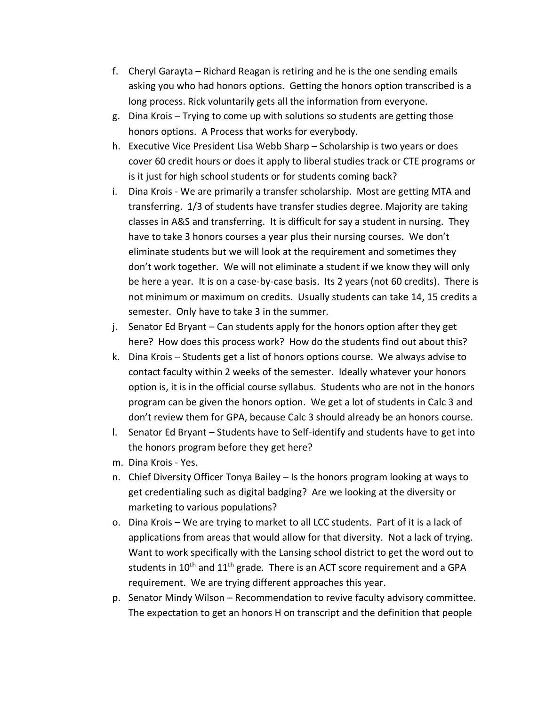- f. Cheryl Garayta Richard Reagan is retiring and he is the one sending emails asking you who had honors options. Getting the honors option transcribed is a long process. Rick voluntarily gets all the information from everyone.
- g. Dina Krois Trying to come up with solutions so students are getting those honors options. A Process that works for everybody.
- h. Executive Vice President Lisa Webb Sharp Scholarship is two years or does cover 60 credit hours or does it apply to liberal studies track or CTE programs or is it just for high school students or for students coming back?
- i. Dina Krois We are primarily a transfer scholarship. Most are getting MTA and transferring. 1/3 of students have transfer studies degree. Majority are taking classes in A&S and transferring. It is difficult for say a student in nursing. They have to take 3 honors courses a year plus their nursing courses. We don't eliminate students but we will look at the requirement and sometimes they don't work together. We will not eliminate a student if we know they will only be here a year. It is on a case-by-case basis. Its 2 years (not 60 credits). There is not minimum or maximum on credits. Usually students can take 14, 15 credits a semester. Only have to take 3 in the summer.
- j. Senator Ed Bryant Can students apply for the honors option after they get here? How does this process work? How do the students find out about this?
- k. Dina Krois Students get a list of honors options course. We always advise to contact faculty within 2 weeks of the semester. Ideally whatever your honors option is, it is in the official course syllabus. Students who are not in the honors program can be given the honors option. We get a lot of students in Calc 3 and don't review them for GPA, because Calc 3 should already be an honors course.
- l. Senator Ed Bryant Students have to Self-identify and students have to get into the honors program before they get here?
- m. Dina Krois Yes.
- n. Chief Diversity Officer Tonya Bailey Is the honors program looking at ways to get credentialing such as digital badging? Are we looking at the diversity or marketing to various populations?
- o. Dina Krois We are trying to market to all LCC students. Part of it is a lack of applications from areas that would allow for that diversity. Not a lack of trying. Want to work specifically with the Lansing school district to get the word out to students in  $10^{th}$  and  $11^{th}$  grade. There is an ACT score requirement and a GPA requirement. We are trying different approaches this year.
- p. Senator Mindy Wilson Recommendation to revive faculty advisory committee. The expectation to get an honors H on transcript and the definition that people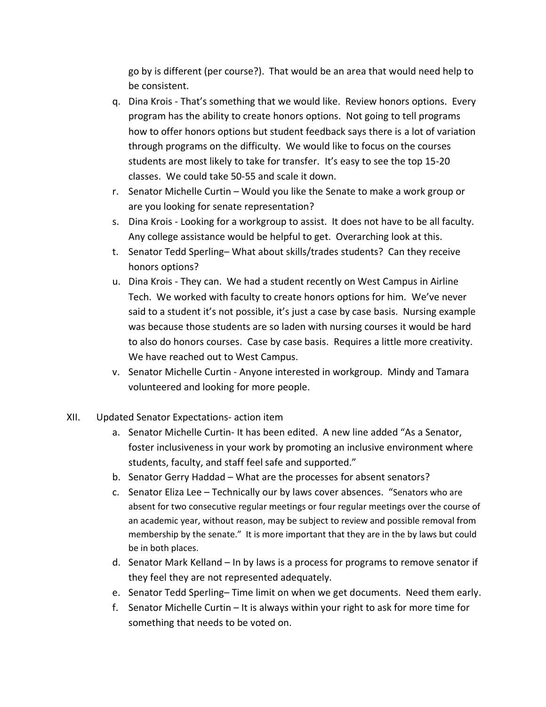go by is different (per course?). That would be an area that would need help to be consistent.

- q. Dina Krois That's something that we would like. Review honors options. Every program has the ability to create honors options. Not going to tell programs how to offer honors options but student feedback says there is a lot of variation through programs on the difficulty. We would like to focus on the courses students are most likely to take for transfer. It's easy to see the top 15-20 classes. We could take 50-55 and scale it down.
- r. Senator Michelle Curtin Would you like the Senate to make a work group or are you looking for senate representation?
- s. Dina Krois Looking for a workgroup to assist. It does not have to be all faculty. Any college assistance would be helpful to get. Overarching look at this.
- t. Senator Tedd Sperling– What about skills/trades students? Can they receive honors options?
- u. Dina Krois They can. We had a student recently on West Campus in Airline Tech. We worked with faculty to create honors options for him. We've never said to a student it's not possible, it's just a case by case basis. Nursing example was because those students are so laden with nursing courses it would be hard to also do honors courses. Case by case basis. Requires a little more creativity. We have reached out to West Campus.
- v. Senator Michelle Curtin Anyone interested in workgroup. Mindy and Tamara volunteered and looking for more people.
- XII. Updated Senator Expectations- action item
	- a. Senator Michelle Curtin- It has been edited. A new line added "As a Senator, foster inclusiveness in your work by promoting an inclusive environment where students, faculty, and staff feel safe and supported."
	- b. Senator Gerry Haddad What are the processes for absent senators?
	- c. Senator Eliza Lee Technically our by laws cover absences. "Senators who are absent for two consecutive regular meetings or four regular meetings over the course of an academic year, without reason, may be subject to review and possible removal from membership by the senate." It is more important that they are in the by laws but could be in both places.
	- d. Senator Mark Kelland In by laws is a process for programs to remove senator if they feel they are not represented adequately.
	- e. Senator Tedd Sperling– Time limit on when we get documents. Need them early.
	- f. Senator Michelle Curtin It is always within your right to ask for more time for something that needs to be voted on.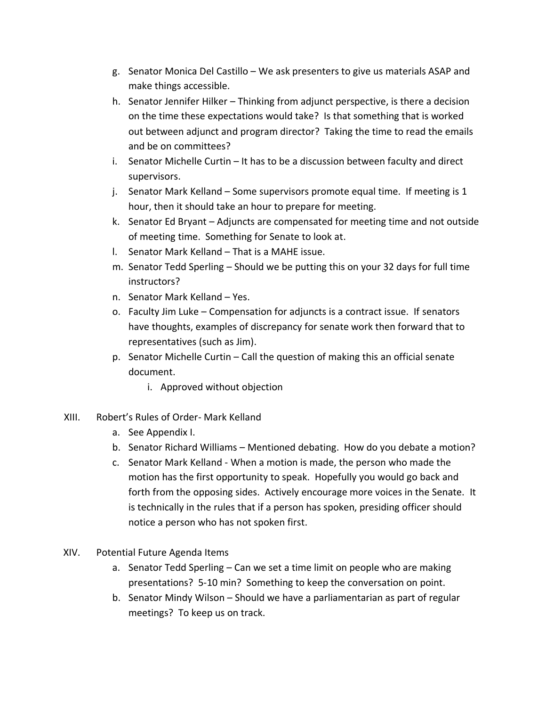- g. Senator Monica Del Castillo We ask presenters to give us materials ASAP and make things accessible.
- h. Senator Jennifer Hilker Thinking from adjunct perspective, is there a decision on the time these expectations would take? Is that something that is worked out between adjunct and program director? Taking the time to read the emails and be on committees?
- i. Senator Michelle Curtin It has to be a discussion between faculty and direct supervisors.
- j. Senator Mark Kelland Some supervisors promote equal time. If meeting is 1 hour, then it should take an hour to prepare for meeting.
- k. Senator Ed Bryant Adjuncts are compensated for meeting time and not outside of meeting time. Something for Senate to look at.
- l. Senator Mark Kelland That is a MAHE issue.
- m. Senator Tedd Sperling Should we be putting this on your 32 days for full time instructors?
- n. Senator Mark Kelland Yes.
- o. Faculty Jim Luke Compensation for adjuncts is a contract issue. If senators have thoughts, examples of discrepancy for senate work then forward that to representatives (such as Jim).
- p. Senator Michelle Curtin Call the question of making this an official senate document.
	- i. Approved without objection
- XIII. Robert's Rules of Order- Mark Kelland
	- a. See Appendix I.
	- b. Senator Richard Williams Mentioned debating. How do you debate a motion?
	- c. Senator Mark Kelland When a motion is made, the person who made the motion has the first opportunity to speak. Hopefully you would go back and forth from the opposing sides. Actively encourage more voices in the Senate. It is technically in the rules that if a person has spoken, presiding officer should notice a person who has not spoken first.
- XIV. Potential Future Agenda Items
	- a. Senator Tedd Sperling Can we set a time limit on people who are making presentations? 5-10 min? Something to keep the conversation on point.
	- b. Senator Mindy Wilson Should we have a parliamentarian as part of regular meetings? To keep us on track.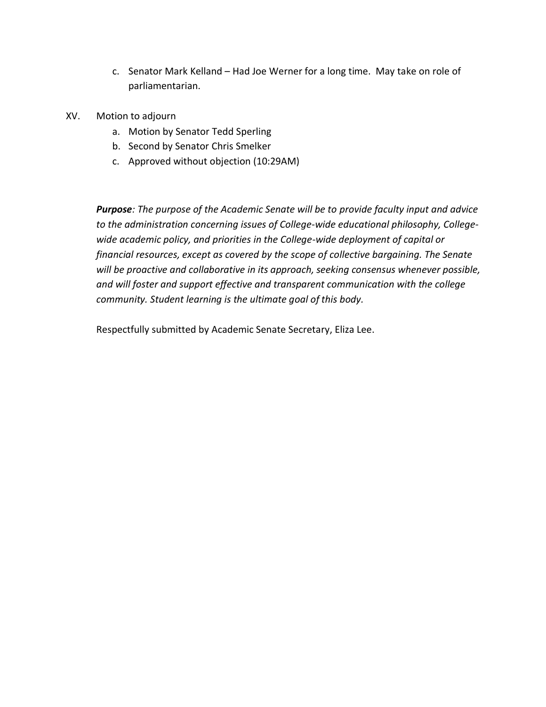- c. Senator Mark Kelland Had Joe Werner for a long time. May take on role of parliamentarian.
- XV. Motion to adjourn
	- a. Motion by Senator Tedd Sperling
	- b. Second by Senator Chris Smelker
	- c. Approved without objection (10:29AM)

*Purpose: The purpose of the Academic Senate will be to provide faculty input and advice to the administration concerning issues of College-wide educational philosophy, Collegewide academic policy, and priorities in the College-wide deployment of capital or financial resources, except as covered by the scope of collective bargaining. The Senate will be proactive and collaborative in its approach, seeking consensus whenever possible, and will foster and support effective and transparent communication with the college community. Student learning is the ultimate goal of this body.*

Respectfully submitted by Academic Senate Secretary, Eliza Lee.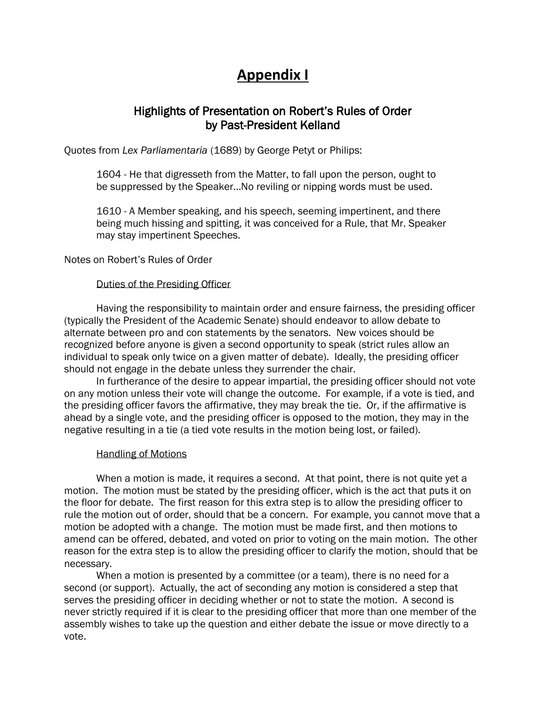# **Appendix I**

## Highlights of Presentation on Robert's Rules of Order by Past-President Kelland

Quotes from *Lex Parliamentaria* (1689) by George Petyt or Philips:

1604 - He that digresseth from the Matter, to fall upon the person, ought to be suppressed by the Speaker…No reviling or nipping words must be used.

1610 - A Member speaking, and his speech, seeming impertinent, and there being much hissing and spitting, it was conceived for a Rule, that Mr. Speaker may stay impertinent Speeches.

Notes on Robert's Rules of Order

## Duties of the Presiding Officer

Having the responsibility to maintain order and ensure fairness, the presiding officer (typically the President of the Academic Senate) should endeavor to allow debate to alternate between pro and con statements by the senators. New voices should be recognized before anyone is given a second opportunity to speak (strict rules allow an individual to speak only twice on a given matter of debate). Ideally, the presiding officer should not engage in the debate unless they surrender the chair.

In furtherance of the desire to appear impartial, the presiding officer should not vote on any motion unless their vote will change the outcome. For example, if a vote is tied, and the presiding officer favors the affirmative, they may break the tie. Or, if the affirmative is ahead by a single vote, and the presiding officer is opposed to the motion, they may in the negative resulting in a tie (a tied vote results in the motion being lost, or failed).

#### Handling of Motions

When a motion is made, it requires a second. At that point, there is not quite yet a motion. The motion must be stated by the presiding officer, which is the act that puts it on the floor for debate. The first reason for this extra step is to allow the presiding officer to rule the motion out of order, should that be a concern. For example, you cannot move that a motion be adopted with a change. The motion must be made first, and then motions to amend can be offered, debated, and voted on prior to voting on the main motion. The other reason for the extra step is to allow the presiding officer to clarify the motion, should that be necessary.

When a motion is presented by a committee (or a team), there is no need for a second (or support). Actually, the act of seconding any motion is considered a step that serves the presiding officer in deciding whether or not to state the motion. A second is never strictly required if it is clear to the presiding officer that more than one member of the assembly wishes to take up the question and either debate the issue or move directly to a vote.